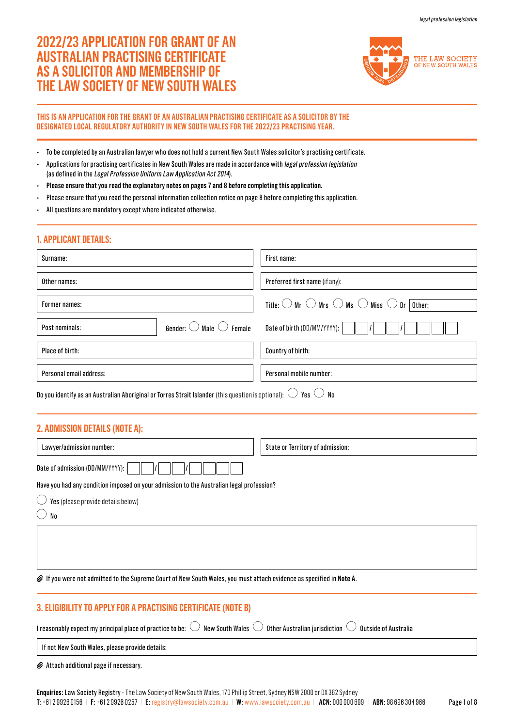# **2022/23 APPLICATION FOR GRANT OF AN AUSTRALIAN PRACTISING CERTIFICATE AS A SOLICITOR AND MEMBERSHIP OF THE LAW SOCIETY OF NEW SOUTH WALES**



# **THIS IS AN APPLICATION FOR THE GRANT OF AN AUSTRALIAN PRACTISING CERTIFICATE AS A SOLICITOR BY THE DESIGNATED LOCAL REGULATORY AUTHORITY IN NEW SOUTH WALES FOR THE 2022/23 PRACTISING YEAR.**

- To be completed by an Australian lawyer who does not hold a current New South Wales solicitor's practising certificate.
- Applications for practising certificates in New South Wales are made in accordance with legal profession legislation (as defined in the Legal Profession Uniform Law Application Act 2014).
- **Please ensure that you read the explanatory notes on pages 7 and 8 before completing this application.**
- Please ensure that you read the personal information collection notice on page 8 before completing this application.
- All questions are mandatory except where indicated otherwise.

# **1. APPLICANT DETAILS:**

| Surname:                                                    | First name:                                                                                       |  |  |
|-------------------------------------------------------------|---------------------------------------------------------------------------------------------------|--|--|
| Other names:                                                | Preferred first name (if any):                                                                    |  |  |
| Former names:                                               | Title: $\bigcirc$ Mr $\bigcirc$ Mrs $\bigcirc$ Ms $\bigcirc$ Miss $\bigcirc$ Dr $\boxed{0}$ ther: |  |  |
| Gender: $\bigcirc$ Male $\bigcirc$ Female<br>Post nominals: | Date of birth (DD/MM/YYYY):                                                                       |  |  |
| Place of birth:                                             | Country of birth:                                                                                 |  |  |
| Personal email address:                                     | Personal mobile number:                                                                           |  |  |

Do you identify as an Australian Aboriginal or Torres Strait Islander (this question is optional):  $\bigcirc$  Yes  $\bigcirc$  No

# **2. ADMISSION DETAILS (NOTE A):**

| Lawyer/admission number:                                                                 | State or Territory of admission: |  |  |
|------------------------------------------------------------------------------------------|----------------------------------|--|--|
| Date of admission (DD/MM/YYYY):                                                          |                                  |  |  |
| Have you had any condition imposed on your admission to the Australian legal profession? |                                  |  |  |
| Yes (please provide details below)                                                       |                                  |  |  |
| No                                                                                       |                                  |  |  |
|                                                                                          |                                  |  |  |

If you were not admitted to the Supreme Court of New South Wales, you must attach evidence as specified in **Note A**.

# **3. ELIGIBILITY TO APPLY FOR A PRACTISING CERTIFICATE (NOTE B)**

| I reasonably expect my principal place of practice to be: $\cup$ New South Wales $\cup$ Other Australian jurisdiction $\cup$ Outside of Australia |  |  |  |  |  |  |
|---------------------------------------------------------------------------------------------------------------------------------------------------|--|--|--|--|--|--|
|---------------------------------------------------------------------------------------------------------------------------------------------------|--|--|--|--|--|--|

If not New South Wales, please provide details:

Attach additional page if necessary.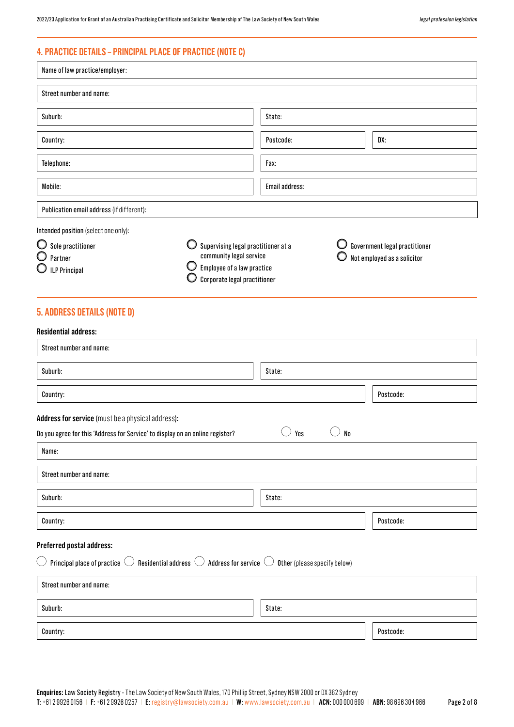# **4. PRACTICE DETAILS – PRINCIPAL PLACE OF PRACTICE (NOTE C)**

| Name of law practice/employer:                                                                                                                                                                          |                                                                                                                              |                |    |                                                              |  |
|---------------------------------------------------------------------------------------------------------------------------------------------------------------------------------------------------------|------------------------------------------------------------------------------------------------------------------------------|----------------|----|--------------------------------------------------------------|--|
| Street number and name:                                                                                                                                                                                 |                                                                                                                              |                |    |                                                              |  |
| Suburb:                                                                                                                                                                                                 |                                                                                                                              | State:         |    |                                                              |  |
| Country:                                                                                                                                                                                                |                                                                                                                              | Postcode:      |    | DX:                                                          |  |
| Telephone:                                                                                                                                                                                              |                                                                                                                              | Fax:           |    |                                                              |  |
| Mobile:                                                                                                                                                                                                 |                                                                                                                              | Email address: |    |                                                              |  |
| Publication email address (if different):                                                                                                                                                               |                                                                                                                              |                |    |                                                              |  |
| Intended position (select one only):<br>$\circ$<br>Sole practitioner<br>Partner<br><b>ILP Principal</b>                                                                                                 | Supervising legal practitioner at a<br>community legal service<br>Employee of a law practice<br>Corporate legal practitioner |                |    | Government legal practitioner<br>Not employed as a solicitor |  |
| <b>5. ADDRESS DETAILS (NOTE D)</b><br><b>Residential address:</b>                                                                                                                                       |                                                                                                                              |                |    |                                                              |  |
| Street number and name:                                                                                                                                                                                 |                                                                                                                              |                |    |                                                              |  |
| Suburb:                                                                                                                                                                                                 |                                                                                                                              | State:         |    |                                                              |  |
| Country:                                                                                                                                                                                                |                                                                                                                              |                |    | Postcode:                                                    |  |
| Address for service (must be a physical address):<br>Do you agree for this 'Address for Service' to display on an online register?                                                                      |                                                                                                                              | Yes            | No |                                                              |  |
| Name:                                                                                                                                                                                                   |                                                                                                                              |                |    |                                                              |  |
| Street number and name:                                                                                                                                                                                 |                                                                                                                              |                |    |                                                              |  |
| Suburb:                                                                                                                                                                                                 |                                                                                                                              | State:         |    |                                                              |  |
| Country:                                                                                                                                                                                                |                                                                                                                              |                |    | Postcode:                                                    |  |
| Preferred postal address:<br>$\bigcirc$<br>Principal place of practice $\bigcirc$ Residential address $\bigcirc$ Address for service $\bigcirc$ Other (please specify below)<br>Street number and name: |                                                                                                                              |                |    |                                                              |  |
|                                                                                                                                                                                                         |                                                                                                                              |                |    |                                                              |  |
| Suburb:                                                                                                                                                                                                 |                                                                                                                              | State:         |    |                                                              |  |
| Country:                                                                                                                                                                                                |                                                                                                                              |                |    | Postcode:                                                    |  |

Page 2 of 8 **Enquiries:** Law Society Registry - The Law Society of New South Wales, 170 Phillip Street, Sydney NSW 2000 or DX 362 Sydney **T:** +61 2 9926 0156 | **F:** +61 2 9926 0257 | **E:** [registry@lawsociety.com.au](mailto:registry%40lawsociety.com.au?subject=) | **W:** <www.lawsociety.com.au> | **ACN:** 000 000 699 | **ABN:** 98 696 304 966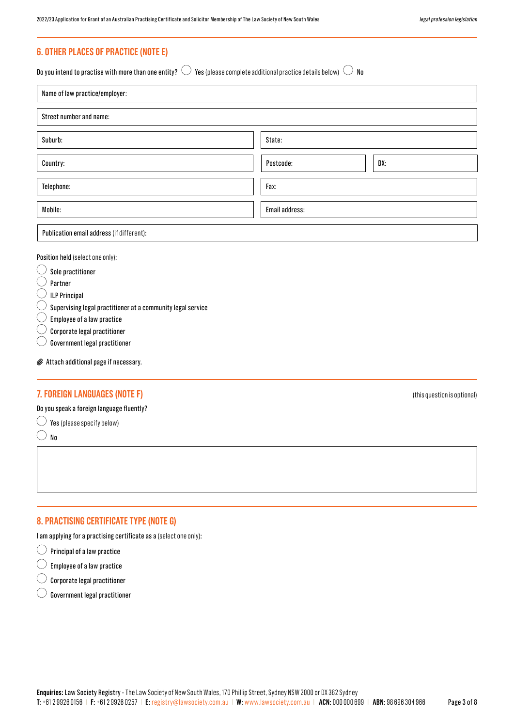# **6. OTHER PLACES OF PRACTICE (NOTE E)**

|  |  | Do you intend to practise with more than one entity? $\cup$ Yes (please complete additional practice details below) $\cup$ No |  |  |
|--|--|-------------------------------------------------------------------------------------------------------------------------------|--|--|
|--|--|-------------------------------------------------------------------------------------------------------------------------------|--|--|

| Name of law practice/employer:            |                  |
|-------------------------------------------|------------------|
| Street number and name:                   |                  |
| Suburb:                                   | State:           |
| Country:                                  | DX:<br>Postcode: |
| Telephone:                                | Fax:             |
| Mobile:                                   | Email address:   |
| Publication email address (if different): |                  |

Position held (select one only):

- $\bigcirc$ Sole practitioner
- ◯ Partner
- $\subset$ ILP Principal
- Supervising legal practitioner at a community legal service
- Employee of a law practice
- Corporate legal practitioner
- Government legal practitioner

Attach additional page if necessary.

# **7. FOREIGN LANGUAGES (NOTE F)** (this question is optional)

Do you speak a foreign language fluently?

 $\bigcirc$  Yes (please specify below)

 $\bigcirc$  No

# **8. PRACTISING CERTIFICATE TYPE (NOTE G)**

I am applying for a practising certificate as a (select one only):

- $\bigcirc$  Principal of a law practice
- $\bigcirc$  Employee of a law practice
- $\bigcirc$  Corporate legal practitioner
- $\bigcirc$ Government legal practitioner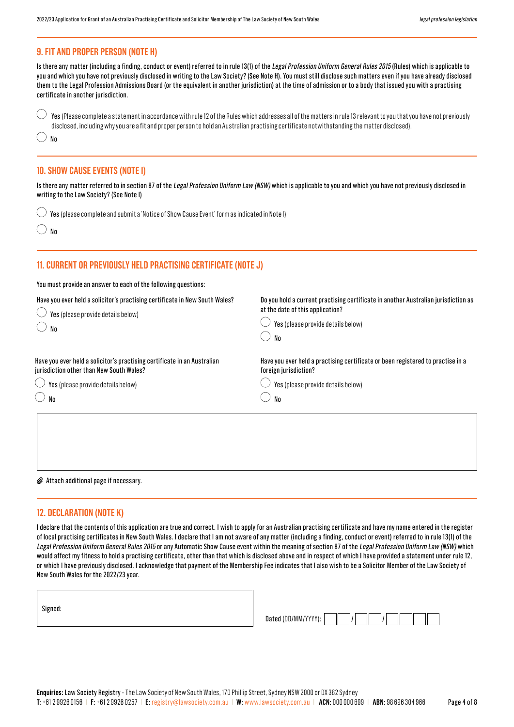# **9. FIT AND PROPER PERSON (NOTE H)**

Is there any matter (including a finding, conduct or event) referred to in rule 13(1) of the Legal Profession Uniform General Rules 2015 (Rules) which is applicable to you and which you have not previously disclosed in writing to the Law Society? (See Note H). You must still disclose such matters even if you have already disclosed them to the Legal Profession Admissions Board (or the equivalent in another jurisdiction) at the time of admission or to a body that issued you with a practising certificate in another jurisdiction.

Yes (Please complete a statement in accordance with rule 12 of the Rules which addresses all of the matters in rule 13 relevant to you that you have not previously disclosed, including why you are a fit and proper person to hold an Australian practising certificate notwithstanding the matter disclosed).

# **10. SHOW CAUSE EVENTS (NOTE I)**

Is there any matter referred to in section 87 of the Legal Profession Uniform Law (NSW) which is applicable to you and which you have not previously disclosed in writing to the Law Society? (See Note I)

 $\bigcirc$  Yes (please complete and submit a 'Notice of Show Cause Event' form as indicated in Note I)

No

No

# **11. CURRENT OR PREVIOUSLY HELD PRACTISING CERTIFICATE (NOTE J)**

You must provide an answer to each of the following questions:

| Have you ever held a solicitor's practising certificate in New South Wales?<br>Yes (please provide details below)<br>No | Do you hold a current practising certificate in another Australian jurisdiction as<br>at the date of this application?<br>Yes (please provide details below)<br>No |
|-------------------------------------------------------------------------------------------------------------------------|--------------------------------------------------------------------------------------------------------------------------------------------------------------------|
| Have you ever held a solicitor's practising certificate in an Australian<br>jurisdiction other than New South Wales?    | Have you ever held a practising certificate or been registered to practise in a<br>foreign jurisdiction?                                                           |
| $^{\rm )}$ Yes (please provide details below)                                                                           | Yes (please provide details below)                                                                                                                                 |
| $\left(\begin{array}{c} \end{array}\right)$ No                                                                          | Nn                                                                                                                                                                 |
|                                                                                                                         |                                                                                                                                                                    |

#### Attach additional page if necessary.

### **12. DECLARATION (NOTE K)**

I declare that the contents of this application are true and correct. I wish to apply for an Australian practising certificate and have my name entered in the register of local practising certificates in New South Wales. I declare that I am not aware of any matter (including a finding, conduct or event) referred to in rule 13(1) of the Legal Profession Uniform General Rules 2015 or any Automatic Show Cause event within the meaning of section 87 of the Legal Profession Uniform Law (NSW) which would affect my fitness to hold a practising certificate, other than that which is disclosed above and in respect of which I have provided a statement under rule 12, or which I have previously disclosed. I acknowledge that payment of the Membership Fee indicates that I also wish to be a Solicitor Member of the Law Society of New South Wales for the 2022/23 year.

| Signed: |  |
|---------|--|
|---------|--|

| Dated (DD/MM/YYYY): |  |  |  |  |  |  |
|---------------------|--|--|--|--|--|--|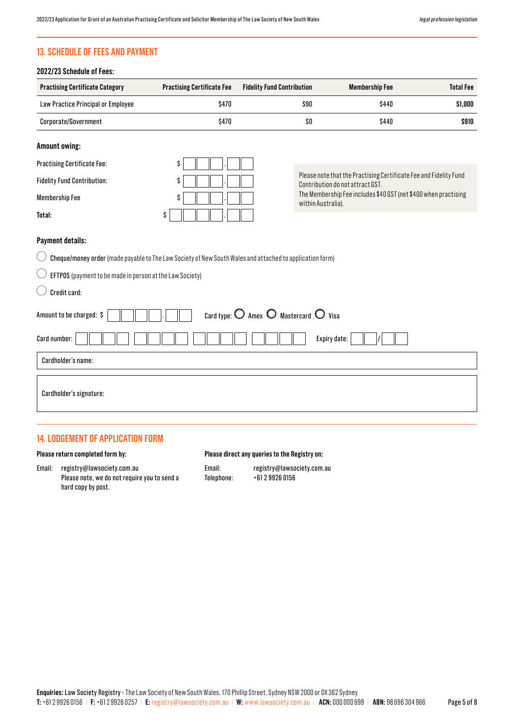# **13. SCHEDULE OF FEES AND PAYMENT**

# **2022/23 Schedule of Fees:**

| <b>Practising Certificate Category</b> | <b>Practising Certificate Fee</b> | <b>Fidelity Fund Contribution</b> | <b>Membership Fee</b> | <b>Total Fee</b> |
|----------------------------------------|-----------------------------------|-----------------------------------|-----------------------|------------------|
| Law Practice Principal or Employee     | \$470                             | \$90                              | \$440                 | \$1.000          |
| Corporate/Government                   | \$470                             | \$O                               | \$440                 | \$910            |

# **Amount owing:**

Practising Certificate Fee:  $\sim$  \$

Fidelity Fund Contribution: \$

**Membership Fee** 

**Total:** \$ .

Please note that the Practising Certificate Fee and Fidelity Fund Contribution do not attract GST. The Membership Fee includes \$40 GST (net \$400 when practising within Australia).

### **Payment details:**

 $($ Cheque/money order (made payable to The Law Society of New South Wales and attached to application form)

EFTPOS (payment to be made in person at the Law Society)

| Credit card: |  |
|--------------|--|

| Card type: $\bigcirc$ Amex $\bigcirc$ Mastercard $\bigcirc$ Visa<br>Amount to be charged: \$ |
|----------------------------------------------------------------------------------------------|
| Expiry date:<br>Card number:                                                                 |
| Cardholder's name:                                                                           |
| Cardholder's signature:                                                                      |

# **14. LODGEMENT OF APPLICATION FORM**

### **Please return completed form by:**

Email: registry@lawsociety.com.au Please note, we do not require you to send a hard copy by post.

#### **Please direct any queries to the Registry on:**

Email: registry@lawsociety.com.au Telephone: +61 2 9926 0156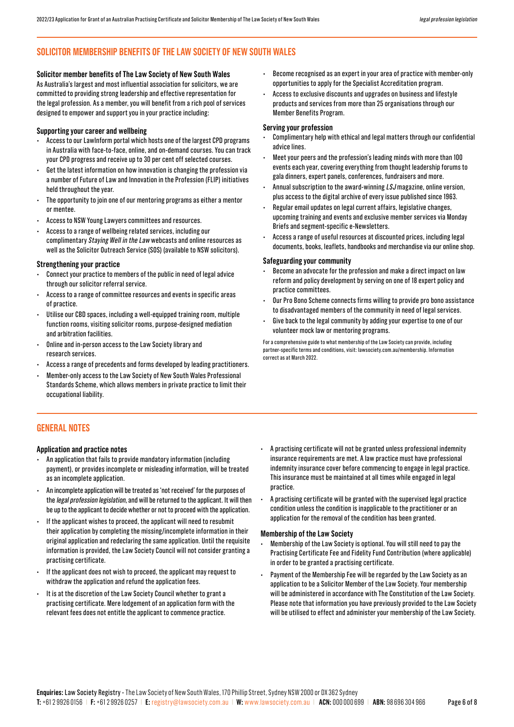# **SOLICITOR MEMBERSHIP BENEFITS OF THE LAW SOCIETY OF NEW SOUTH WALES**

**Solicitor member benefits of The Law Society of New South Wales** As Australia's largest and most influential association for solicitors, we are committed to providing strong leadership and effective representation for the legal profession. As a member, you will benefit from a rich pool of services designed to empower and support you in your practice including:

### **Supporting your career and wellbeing**

- Access to our LawInform portal which hosts one of the largest CPD programs in Australia with face-to-face, online, and on-demand courses. You can track your CPD progress and receive up to 30 per cent off selected courses.
- Get the latest information on how innovation is changing the profession via a number of Future of Law and Innovation in the Profession (FLIP) initiatives held throughout the year.
- The opportunity to join one of our mentoring programs as either a mentor or mentee.
- Access to NSW Young Lawyers committees and resources.
- Access to a range of wellbeing related services, including our complimentary Staying Well in the Law webcasts and online resources as well as the Solicitor Outreach Service (SOS) (available to NSW solicitors).

### **Strengthening your practice**

- Connect your practice to members of the public in need of legal advice through our solicitor referral service.
- Access to a range of committee resources and events in specific areas of practice.
- Utilise our CBD spaces, including a well-equipped training room, multiple function rooms, visiting solicitor rooms, purpose-designed mediation and arbitration facilities.
- Online and in-person access to the Law Society library and research services.
- Access a range of precedents and forms developed by leading practitioners.
- Member-only access to the Law Society of New South Wales Professional Standards Scheme, which allows members in private practice to limit their occupational liability.
- Become recognised as an expert in your area of practice with member-only opportunities to apply for the Specialist Accreditation program.
- Access to exclusive discounts and upgrades on business and lifestyle products and services from more than 25 organisations through our Member Benefits Program.

### **Serving your profession**

- Complimentary help with ethical and legal matters through our confidential advice lines.
- Meet your peers and the profession's leading minds with more than 100 events each year, covering everything from thought leadership forums to gala dinners, expert panels, conferences, fundraisers and more.
- Annual subscription to the award-winning  $LSJ$  magazine, online version, plus access to the digital archive of every issue published since 1963.
- Regular email updates on legal current affairs, legislative changes, upcoming training and events and exclusive member services via Monday Briefs and segment-specific e-Newsletters.
- Access a range of useful resources at discounted prices, including legal documents, books, leaflets, handbooks and merchandise via our online shop.

### **Safeguarding your community**

- Become an advocate for the profession and make a direct impact on law reform and policy development by serving on one of 18 expert policy and practice committees.
- Our Pro Bono Scheme connects firms willing to provide pro bono assistance to disadvantaged members of the community in need of legal services.
- Give back to the legal community by adding your expertise to one of our volunteer mock law or mentoring programs.

For a comprehensive guide to what membership of the Law Society can provide, including partner-specific terms and conditions, visit: lawsociety.com.au/membership. Information correct as at March 2022.

# **GENERAL NOTES**

### **Application and practice notes**

- An application that fails to provide mandatory information (including payment), or provides incomplete or misleading information, will be treated as an incomplete application.
- An incomplete application will be treated as 'not received' for the purposes of the legal profession legislation, and will be returned to the applicant. It will then be up to the applicant to decide whether or not to proceed with the application.
- If the applicant wishes to proceed, the applicant will need to resubmit their application by completing the missing/incomplete information in their original application and redeclaring the same application. Until the requisite information is provided, the Law Society Council will not consider granting a practising certificate.
- If the applicant does not wish to proceed, the applicant may request to withdraw the application and refund the application fees.
- It is at the discretion of the Law Society Council whether to grant a practising certificate. Mere lodgement of an application form with the relevant fees does not entitle the applicant to commence practice.
- A practising certificate will not be granted unless professional indemnity insurance requirements are met. A law practice must have professional indemnity insurance cover before commencing to engage in legal practice. This insurance must be maintained at all times while engaged in legal practice.
- A practising certificate will be granted with the supervised legal practice condition unless the condition is inapplicable to the practitioner or an application for the removal of the condition has been granted.

### **Membership of the Law Society**

- Membership of the Law Society is optional. You will still need to pay the Practising Certificate Fee and Fidelity Fund Contribution (where applicable) in order to be granted a practising certificate.
- Payment of the Membership Fee will be regarded by the Law Society as an application to be a Solicitor Member of the Law Society. Your membership will be administered in accordance with The Constitution of the Law Society. Please note that information you have previously provided to the Law Society will be utilised to effect and administer your membership of the Law Society.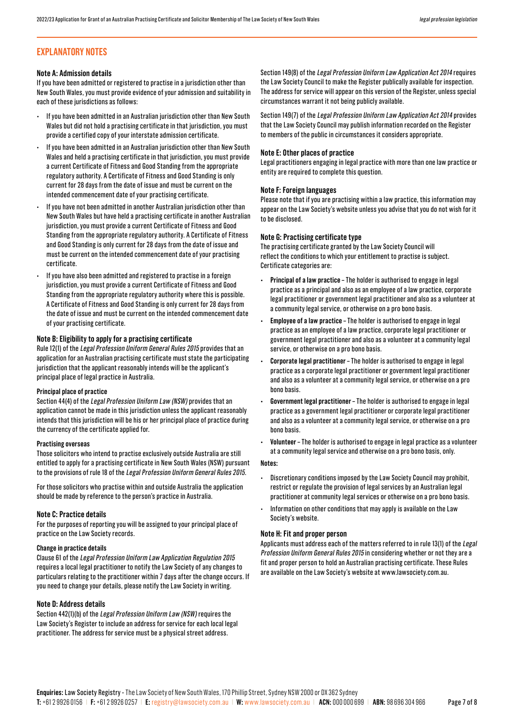# **EXPLANATORY NOTES**

### **Note A: Admission details**

If you have been admitted or registered to practise in a jurisdiction other than New South Wales, you must provide evidence of your admission and suitability in each of these jurisdictions as follows:

- If you have been admitted in an Australian jurisdiction other than New South Wales but did not hold a practising certificate in that jurisdiction, you must provide a certified copy of your interstate admission certificate.
- If you have been admitted in an Australian jurisdiction other than New South Wales and held a practising certificate in that jurisdiction, you must provide a current Certificate of Fitness and Good Standing from the appropriate regulatory authority. A Certificate of Fitness and Good Standing is only current for 28 days from the date of issue and must be current on the intended commencement date of your practising certificate.
- If you have not been admitted in another Australian jurisdiction other than New South Wales but have held a practising certificate in another Australian jurisdiction, you must provide a current Certificate of Fitness and Good Standing from the appropriate regulatory authority. A Certificate of Fitness and Good Standing is only current for 28 days from the date of issue and must be current on the intended commencement date of your practising certificate.
- If you have also been admitted and registered to practise in a foreign jurisdiction, you must provide a current Certificate of Fitness and Good Standing from the appropriate regulatory authority where this is possible. A Certificate of Fitness and Good Standing is only current for 28 days from the date of issue and must be current on the intended commencement date of your practising certificate.

### **Note B: Eligibility to apply for a practising certificate**

Rule 12(1) of the Legal Profession Uniform General Rules 2015 provides that an application for an Australian practising certificate must state the participating jurisdiction that the applicant reasonably intends will be the applicant's principal place of legal practice in Australia.

#### **Principal place of practice**

Section 44(4) of the Legal Profession Uniform Law (NSW) provides that an application cannot be made in this jurisdiction unless the applicant reasonably intends that this jurisdiction will be his or her principal place of practice during the currency of the certificate applied for.

#### **Practising overseas**

Those solicitors who intend to practise exclusively outside Australia are still entitled to apply for a practising certificate in New South Wales (NSW) pursuant to the provisions of rule 18 of the Legal Profession Uniform General Rules 2015.

For those solicitors who practise within and outside Australia the application should be made by reference to the person's practice in Australia.

### **Note C: Practice details**

For the purposes of reporting you will be assigned to your principal place of practice on the Law Society records.

#### **Change in practice details**

Clause 61 of the Legal Profession Uniform Law Application Regulation 2015 requires a local legal practitioner to notify the Law Society of any changes to particulars relating to the practitioner within 7 days after the change occurs. If you need to change your details, please notify the Law Society in writing.

#### **Note D: Address details**

Section 442(1)(b) of the Legal Profession Uniform Law (NSW) requires the Law Society's Register to include an address for service for each local legal practitioner. The address for service must be a physical street address.

Section 149(8) of the Legal Profession Uniform Law Application Act 2014 requires the Law Society Council to make the Register publically available for inspection. The address for service will appear on this version of the Register, unless special circumstances warrant it not being publicly available.

Section 149(7) of the Legal Profession Uniform Law Application Act 2014 provides that the Law Society Council may publish information recorded on the Register to members of the public in circumstances it considers appropriate.

#### **Note E: Other places of practice**

Legal practitioners engaging in legal practice with more than one law practice or entity are required to complete this question.

#### **Note F: Foreign languages**

Please note that if you are practising within a law practice, this information may appear on the Law Society's website unless you advise that you do not wish for it to be disclosed.

#### **Note G: Practising certificate type**

The practising certificate granted by the Law Society Council will reflect the conditions to which your entitlement to practise is subject. Certificate categories are:

- **• Principal of a law practice –** The holder is authorised to engage in legal practice as a principal and also as an employee of a law practice, corporate legal practitioner or government legal practitioner and also as a volunteer at a community legal service, or otherwise on a pro bono basis.
- **• Employee of a law practice –** The holder is authorised to engage in legal practice as an employee of a law practice, corporate legal practitioner or government legal practitioner and also as a volunteer at a community legal service, or otherwise on a pro bono basis.
- **• Corporate legal practitioner** The holder is authorised to engage in legal practice as a corporate legal practitioner or government legal practitioner and also as a volunteer at a community legal service, or otherwise on a pro bono basis.
- **• Government legal practitioner –** The holder is authorised to engage in legal practice as a government legal practitioner or corporate legal practitioner and also as a volunteer at a community legal service, or otherwise on a pro bono basis.
- **• Volunteer –** The holder is authorised to engage in legal practice as a volunteer at a community legal service and otherwise on a pro bono basis, only.

#### **Notes:**

- Discretionary conditions imposed by the Law Society Council may prohibit, restrict or regulate the provision of legal services by an Australian legal practitioner at community legal services or otherwise on a pro bono basis.
- Information on other conditions that may apply is available on the Law Society's website.

#### **Note H: Fit and proper person**

Applicants must address each of the matters referred to in rule 13(1) of the Legal Profession Uniform General Rules 2015 in considering whether or not they are a fit and proper person to hold an Australian practising certificate. These Rules are available on the Law Society's website at www.lawsociety.com.au.